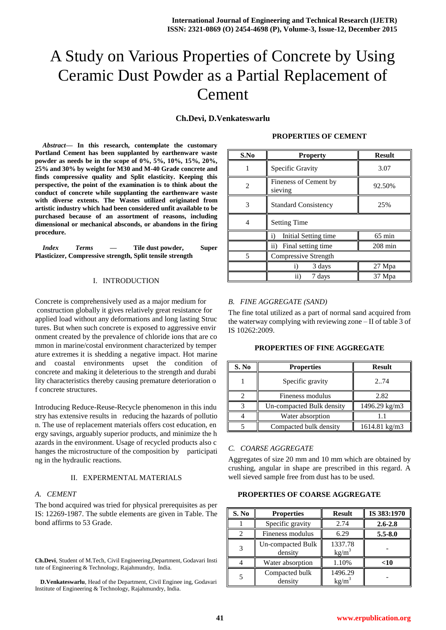# A Study on Various Properties of Concrete by Using Ceramic Dust Powder as a Partial Replacement of Cement

# **Ch.Devi, D.Venkateswarlu**

*Abstract***— In this research, contemplate the customary Portland Cement has been supplanted by earthenware waste powder as needs be in the scope of 0%, 5%, 10%, 15%, 20%, 25% and 30% by weight for M30 and M-40 Grade concrete and finds compressive quality and Split elasticity. Keeping this perspective, the point of the examination is to think about the conduct of concrete while supplanting the earthenware waste with diverse extents. The Wastes utilized originated from artistic industry which had been considered unfit available to be purchased because of an assortment of reasons, including dimensional or mechanical absconds, or abandons in the firing procedure.**

*Index Terms* **— Tile dust powder, Super Plasticizer, Compressive strength, Split tensile strength**

#### I. INTRODUCTION

Concrete is comprehensively used as a major medium for construction globally it gives relatively great resistance for applied load without any deformations and long lasting Struc tures. But when such concrete is exposed to aggressive envir onment created by the prevalence of chloride ions that are co mmon in marine/costal environment characterized by temper ature extremes it is shedding a negative impact. Hot marine and coastal environments upset the condition of concrete and making it deleterious to the strength and durabi lity characteristics thereby causing premature deterioration o f concrete structures.

Introducing Reduce-Reuse-Recycle phenomenon in this indu stry has extensive results in reducing the hazards of pollutio n. The use of replacement materials offers cost education, en ergy savings, arguably superior products, and minimize the h azards in the environment. Usage of recycled products also c hanges the microstructure of the composition by participati ng in the hydraulic reactions.

#### II. EXPERMENTAL MATERIALS

### *A. CEMENT*

The bond acquired was tried for physical prerequisites as per IS: 12269-1987. The subtle elements are given in Table. The bond affirms to 53 Grade.

**Ch.Devi**, Student of M.Tech, Civil Engineering,Department, Godavari Insti tute of Engineering & Technology, Rajahmundry, India.

**D.Venkateswarlu**, Head of the Department, Civil Enginee ing, Godavari Institute of Engineering & Technology, Rajahmundry, India.

|  |  |  |  | <b>PROPERTIES OF CEMENT</b> |  |
|--|--|--|--|-----------------------------|--|
|--|--|--|--|-----------------------------|--|

| S.No | <b>Property</b>                      | <b>Result</b>     |
|------|--------------------------------------|-------------------|
|      | Specific Gravity                     | 3.07              |
| 2    | Fineness of Cement by<br>sieving     | 92.50%            |
| 3    | <b>Standard Consistency</b>          | 25%               |
| 4    | <b>Setting Time</b>                  |                   |
|      | $\mathbf{i}$<br>Initial Setting time | $65 \text{ min}$  |
|      | ii)<br>Final setting time            | $208 \text{ min}$ |
| 5    | Compressive Strength                 |                   |
|      | 3 days                               | 27 Mpa            |
|      | ii)<br>7 days                        | 37 Mpa            |

#### *B. FINE AGGREGATE (SAND)*

The fine total utilized as a part of normal sand acquired from the waterway complying with reviewing zone – II of table 3 of IS 10262:2009.

**PROPERTIES OF FINE AGGREGATE**

| S. No | <b>Properties</b>         | <b>Result</b> |
|-------|---------------------------|---------------|
|       | Specific gravity          | 274           |
|       | Fineness modulus          | 2.82          |
|       | Un-compacted Bulk density | 1496.29 kg/m3 |
|       | Water absorption          |               |
|       | Compacted bulk density    | 1614.81 kg/m3 |

#### *C. COARSE AGGREGATE*

Aggregates of size 20 mm and 10 mm which are obtained by crushing, angular in shape are prescribed in this regard. A well sieved sample free from dust has to be used.

## **PROPERTIES OF COARSE AGGREGATE**

| S. No | <b>Properties</b>            | <b>Result</b>       | IS 383:1970 |
|-------|------------------------------|---------------------|-------------|
|       | Specific gravity             | 2.74                | $2.6 - 2.8$ |
|       | Fineness modulus             | 6.29                | $5.5 - 8.0$ |
|       | Un-compacted Bulk<br>density | 1337.78<br>$kg/m^3$ |             |
|       | Water absorption             | 1.10%               | $<$ 10      |
|       | Compacted bulk<br>density    | 1496.29<br>$kg/m^3$ |             |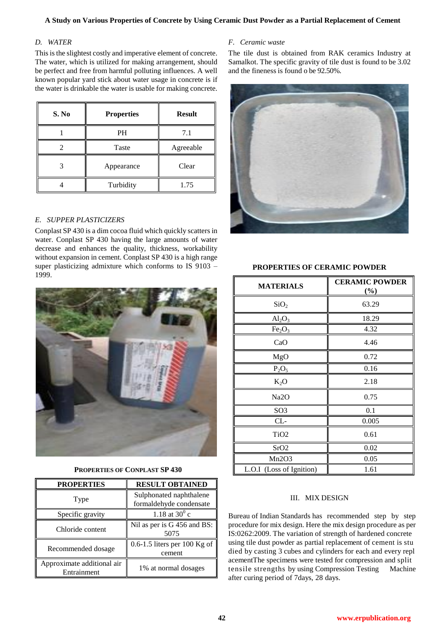## **A Study on Various Properties of Concrete by Using Ceramic Dust Powder as a Partial Replacement of Cement**

## *D. WATER*

This is the slightest costly and imperative element of concrete. The water, which is utilized for making arrangement, should be perfect and free from harmful polluting influences. A well known popular yard stick about water usage in concrete is if the water is drinkable the water is usable for making concrete.

| S. No | <b>Properties</b> | <b>Result</b> |
|-------|-------------------|---------------|
|       | PH                | 7.1           |
|       | Taste             | Agreeable     |
|       | Appearance        | Clear         |
|       | Turbidity         | 1.75          |

# *E. SUPPER PLASTICIZERS*

Conplast SP 430 is a dim cocoa fluid which quickly scatters in water. Conplast SP 430 having the large amounts of water decrease and enhances the quality, thickness, workability without expansion in cement. Conplast SP 430 is a high range super plasticizing admixture which conforms to IS 9103 – 1999.



## **PROPERTIES OF CONPLAST SP 430**

| <b>PROPERTIES</b>                         | <b>RESULT OBTAINED</b>                             |
|-------------------------------------------|----------------------------------------------------|
| Type                                      | Sulphonated naphthalene<br>formaldehyde condensate |
| Specific gravity                          | 1.18 at $30^0$ c                                   |
| Chloride content                          | Nil as per is G 456 and BS:<br>5075                |
| Recommended dosage                        | $0.6-1.5$ liters per 100 Kg of<br>cement           |
| Approximate additional air<br>Entrainment | 1% at normal dosages                               |

## *F. Ceramic waste*

The tile dust is obtained from RAK ceramics Industry at Samalkot. The specific gravity of tile dust is found to be 3.02 and the fineness is found o be 92.50%.



### **PROPERTIES OF CERAMIC POWDER**

| <b>MATERIALS</b>               | <b>CERAMIC POWDER</b><br>$(\%)$ |
|--------------------------------|---------------------------------|
| SiO <sub>2</sub>               | 63.29                           |
| $Al_2O_3$                      | 18.29                           |
| Fe <sub>2</sub> O <sub>3</sub> | 4.32                            |
| CaO                            | 4.46                            |
| MgO                            | 0.72                            |
| $P_2O_5$                       | 0.16                            |
| $K_2O$                         | 2.18                            |
| Na <sub>2</sub> O              | 0.75                            |
| SO <sub>3</sub>                | 0.1                             |
| $CL-$                          | 0.005                           |
| TiO <sub>2</sub>               | 0.61                            |
| SrO2                           | 0.02                            |
| Mn2O3                          | 0.05                            |
| L.O.I (Loss of Ignition)       | 1.61                            |

#### III. MIX DESIGN

Bureau of Indian Standards has recommended step by step procedure for mix design. Here the mix design procedure as per IS:0262:2009. The variation of strength of hardened concrete using tile dust powder as partial replacement of cement is stu died by casting 3 cubes and cylinders for each and every repl acementThe specimens were tested for compression and split tensile strengths by using Compression Testing Machine after curing period of 7days, 28 days.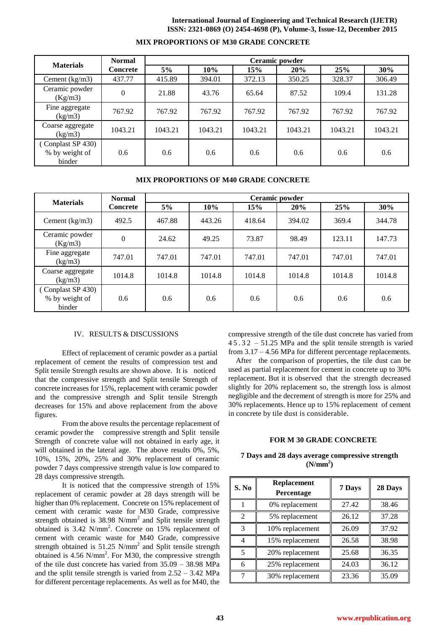#### **International Journal of Engineering and Technical Research (IJETR) ISSN: 2321-0869 (O) 2454-4698 (P), Volume-3, Issue-12, December 2015**

| <b>Materials</b>                             | <b>Normal</b>   | Ceramic powder |         |         |         |         |         |
|----------------------------------------------|-----------------|----------------|---------|---------|---------|---------|---------|
|                                              | <b>Concrete</b> | 5%             | 10%     | 15%     | 20%     | 25%     | 30%     |
| Cement $(kg/m3)$                             | 437.77          | 415.89         | 394.01  | 372.13  | 350.25  | 328.37  | 306.49  |
| Ceramic powder<br>(Kg/m3)                    | $\Omega$        | 21.88          | 43.76   | 65.64   | 87.52   | 109.4   | 131.28  |
| Fine aggregate<br>(kg/m3)                    | 767.92          | 767.92         | 767.92  | 767.92  | 767.92  | 767.92  | 767.92  |
| Coarse aggregate<br>(kg/m3)                  | 1043.21         | 1043.21        | 1043.21 | 1043.21 | 1043.21 | 1043.21 | 1043.21 |
| Conplast SP 430)<br>% by weight of<br>binder | 0.6             | 0.6            | 0.6     | 0.6     | 0.6     | 0.6     | 0.6     |

## **MIX PROPORTIONS OF M30 GRADE CONCRETE**

### **MIX PROPORTIONS OF M40 GRADE CONCRETE**

| <b>Materials</b>                             | <b>Normal</b>   | Ceramic powder |               |        |        |        |        |
|----------------------------------------------|-----------------|----------------|---------------|--------|--------|--------|--------|
|                                              | <b>Concrete</b> | 5%             | 10%           | 15%    | 20%    | 25%    | 30%    |
| Cement $(kg/m3)$                             | 492.5           | 467.88         | 443.26        | 418.64 | 394.02 | 369.4  | 344.78 |
| Ceramic powder<br>(Kg/m3)                    | $\theta$        | 24.62          | 49.25         | 73.87  | 98.49  | 123.11 | 147.73 |
| Fine aggregate<br>$\frac{\text{kg}}{m3}$     | 747.01          | 747.01         | 747.01        | 747.01 | 747.01 | 747.01 | 747.01 |
| Coarse aggregate<br>(kg/m3)                  | 1014.8          | 1014.8         | 1014.8        | 1014.8 | 1014.8 | 1014.8 | 1014.8 |
| Conplast SP 430)<br>% by weight of<br>binder | 0.6             | 0.6            | $0.6^{\circ}$ | 0.6    | 0.6    | 0.6    | 0.6    |

#### IV. RESULTS & DISCUSSIONS

Effect of replacement of ceramic powder as a partial replacement of cement the results of compression test and Split tensile Strength results are shown above. It is noticed that the compressive strength and Split tensile Strength of concrete increases for 15%, replacement with ceramic powder and the compressive strength and Split tensile Strength decreases for 15% and above replacement from the above figures.

From the above results the percentage replacement of ceramic powder the compressive strength and Split tensile Strength of concrete value will not obtained in early age, it will obtained in the lateral age. The above results 0%, 5%, 10%, 15%, 20%, 25% and 30% replacement of ceramic powder 7 days compressive strength value is low compared to 28 days compressive strength.

It is noticed that the compressive strength of 15% replacement of ceramic powder at 28 days strength will be higher than 0% replacement. Concrete on 15% replacement of cement with ceramic waste for M30 Grade, compressive strength obtained is 38.98 N/mm<sup>2</sup> and Split tensile strength obtained is 3.42 N/mm<sup>2</sup>. Concrete on 15% replacement of cement with ceramic waste for M40 Grade, compressive strength obtained is  $51.25$  N/mm<sup>2</sup> and Split tensile strength obtained is  $4.56$  N/mm<sup>2</sup>. For M30, the compressive strength of the tile dust concrete has varied from 35.09 – 38.98 MPa and the split tensile strength is varied from 2.52 – 3.42 MPa for different percentage replacements. As well as for M40, the

compressive strength of the tile dust concrete has varied from 4 5 . 3 2 – 51.25 MPa and the split tensile strength is varied from 3.17 – 4.56 MPa for different percentage replacements.

After the comparison of properties, the tile dust can be used as partial replacement for cement in concrete up to 30% replacement. But it is observed that the strength decreased slightly for 20% replacement so, the strength loss is almost negligible and the decrement of strength is more for 25% and 30% replacements. Hence up to 15% replacement of cement in concrete by tile dust is considerable.

### **FOR M 30 GRADE CONCRETE**

|  |  |                      | 7 Days and 28 days average compressive strength |  |
|--|--|----------------------|-------------------------------------------------|--|
|  |  | (N/mm <sup>2</sup> ) |                                                 |  |

| S. No                    | <b>Replacement</b><br>Percentage | 7 Days | 28 Days |
|--------------------------|----------------------------------|--------|---------|
|                          | 0% replacement                   | 27.42  | 38.46   |
| $\mathfrak{D}$           | 5% replacement                   | 26.12  | 37.28   |
| $\mathcal{R}$            | 10% replacement                  | 26.09  | 37.92   |
| 4                        | 15% replacement                  | 26.58  | 38.98   |
| $\overline{\phantom{0}}$ | 20% replacement                  | 25.68  | 36.35   |
| 6                        | 25% replacement                  | 24.03  | 36.12   |
|                          | 30% replacement                  | 23.36  | 35.09   |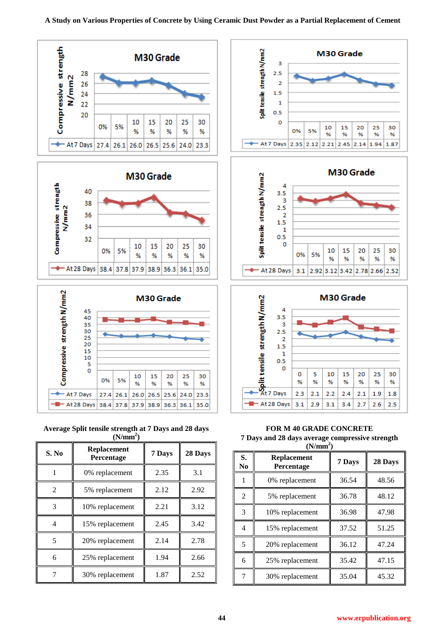







| S. No | <b>Replacement</b><br>Percentage | 7 Days | 28 Days |
|-------|----------------------------------|--------|---------|
|       | 0% replacement                   | 2.35   | 3.1     |
| 2     | 5% replacement                   | 2.12   | 2.92    |
| 3     | 10% replacement                  | 2.21   | 3.12    |
| 4     | 15% replacement                  | 2.45   | 3.42    |
| 5     | 20% replacement                  | 2.14   | 2.78    |
| 6     | 25% replacement                  | 1.94   | 2.66    |
|       | 30% replacement                  | 1.87   | 2.52    |







**FOR M 40 GRADE CONCRETE 7 Days and 28 days average compressive strength**   $(N/mm<sup>2</sup>)$ 

| S.<br>No       | <b>Replacement</b><br>Percentage | 7 Days | 28 Days |
|----------------|----------------------------------|--------|---------|
|                | 0% replacement                   | 36.54  | 48.56   |
| $\overline{2}$ | 5% replacement                   | 36.78  | 48.12   |
| 3              | 10% replacement                  | 36.98  | 47.98   |
| 4              | 15% replacement                  | 37.52  | 51.25   |
| 5              | 20% replacement                  | 36.12  | 47.24   |
| 6              | 25% replacement                  | 35.42  | 47.15   |
| 7              | 30% replacement                  | 35.04  | 45.32   |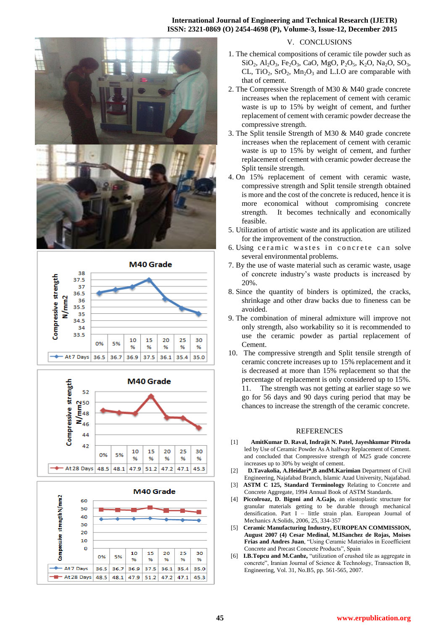#### **International Journal of Engineering and Technical Research (IJETR) ISSN: 2321-0869 (O) 2454-4698 (P), Volume-3, Issue-12, December 2015**









### V. CONCLUSIONS

- 1. The chemical compositions of ceramic tile powder such as  $SiO_2$ ,  $Al_2O_3$ , Fe<sub>2</sub>O<sub>3</sub>, CaO, MgO, P<sub>2</sub>O<sub>5</sub>, K<sub>2</sub>O, Na<sub>2</sub>O, SO<sub>3</sub>, CL,  $TiO_2$ ,  $SrO_2$ ,  $Mn_2O_3$  and L.I.O are comparable with that of cement.
- 2. The Compressive Strength of M30 & M40 grade concrete increases when the replacement of cement with ceramic waste is up to 15% by weight of cement, and further replacement of cement with ceramic powder decrease the compressive strength.
- 3. The Split tensile Strength of M30 & M40 grade concrete increases when the replacement of cement with ceramic waste is up to 15% by weight of cement, and further replacement of cement with ceramic powder decrease the Split tensile strength.
- 4. On 15% replacement of cement with ceramic waste, compressive strength and Split tensile strength obtained is more and the cost of the concrete is reduced, hence it is more economical without compromising concrete strength. It becomes technically and economically feasible.
- 5. Utilization of artistic waste and its application are utilized for the improvement of the construction.
- 6. Using ceramic wastes in concrete can solve several environmental problems.
- 7. By the use of waste material such as ceramic waste, usage of concrete industry's waste products is increased by 20%.
- 8. Since the quantity of binders is optimized, the cracks, shrinkage and other draw backs due to fineness can be avoided.
- 9. The combination of mineral admixture will improve not only strength, also workability so it is recommended to use the ceramic powder as partial replacement of Cement.
- 10. The compressive strength and Split tensile strength of ceramic concrete increases up to 15% replacement and it is decreased at more than 15% replacement so that the percentage of replacement is only considered up to 15%. 11. The strength was not getting at earlier stage so we
	- go for 56 days and 90 days curing period that may be chances to increase the strength of the ceramic concrete.

### **REFERENCES**

- [1] **AmitKumar D. Raval, Indrajit N. Patel, Jayeshkumar Pitroda**  led by Use of Ceramic Powder As A halfway Replacement of Cement. and concluded that Compressive strength of M25 grade concrete increases up to 30% by weight of cement.
- [2] **D.Tavakolia, A.Heidari\*,B andM.Karimian** Department of Civil Engineering, Najafabad Branch, Islamic Azad University, Najafabad.
- [3] **ASTM C 125, Standard Terminology** Relating to Concrete and Concrete Aggregate, 1994 Annual Book of ASTM Standards.
- [4] **Piccolroaz, D. Bigoni and A.Gajo,** an elastoplastic structure for granular materials getting to be durable through mechanical densification. Part I – little strain plan. European Journal of Mechanics A:Solids, 2006, 25, 334-357
- [5] **Ceramic Manufacturing Industry, EUROPEAN COMMISSION, August 2007 (4) Cesar Medinal, M.ISanchez de Rojas, Moises Frias and Andres Juan**, "Using Ceramic Materialos in Ecoefficient Concrete and Precast Concrete Products", Spain
- [6] **I.B.Topcu and M.Canbz,** "utilization of crushed tile as aggregate in concrete", Iranian Journal of Science & Technology, Transaction B, Engineering, Vol. 31, No.B5, pp. 561-565, 2007.